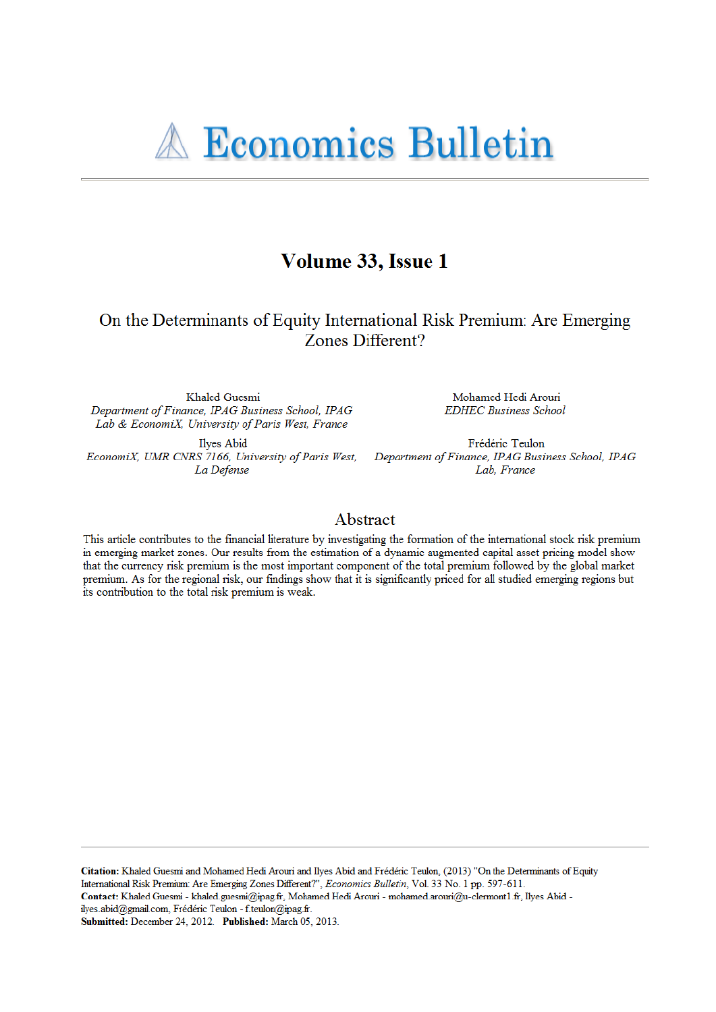# **A Economics Bulletin**

## Volume 33, Issue 1

On the Determinants of Equity International Risk Premium: Are Emerging Zones Different?

Khaled Guesmi Department of Finance, IPAG Business School, IPAG Lab & EconomiX, University of Paris West, France

Ilyes Abid EconomiX, UMR CNRS 7166, University of Paris West, Department of Finance, IPAG Business School, IPAG La Defense

Mohamed Hedi Arouri **EDHEC Business School** 

Frédéric Teulon Lab, France

### Abstract

This article contributes to the financial literature by investigating the formation of the international stock risk premium in emerging market zones. Our results from the estimation of a dynamic augmented capital asset pricing model show that the currency risk premium is the most important component of the total premium followed by the global market premium. As for the regional risk, our findings show that it is significantly priced for all studied emerging regions but its contribution to the total risk premium is weak.

Citation: Khaled Guesmi and Mohamed Hedi Arouri and Ilyes Abid and Frédéric Teulon, (2013) "On the Determinants of Equity International Risk Premium: Are Emerging Zones Different?", Economics Bulletin, Vol. 33 No. 1 pp. 597-611. Contact: Khaled Guesmi - khaled.guesmi@ipag.fr, Mohamed Hedi Arouri - mohamed.arouri@u-clermont1.fr, Ilyes Abid ilyes.abid@gmail.com, Frédéric Teulon - f.teulon@ipag.fr. Submitted: December 24, 2012. Published: March 05, 2013.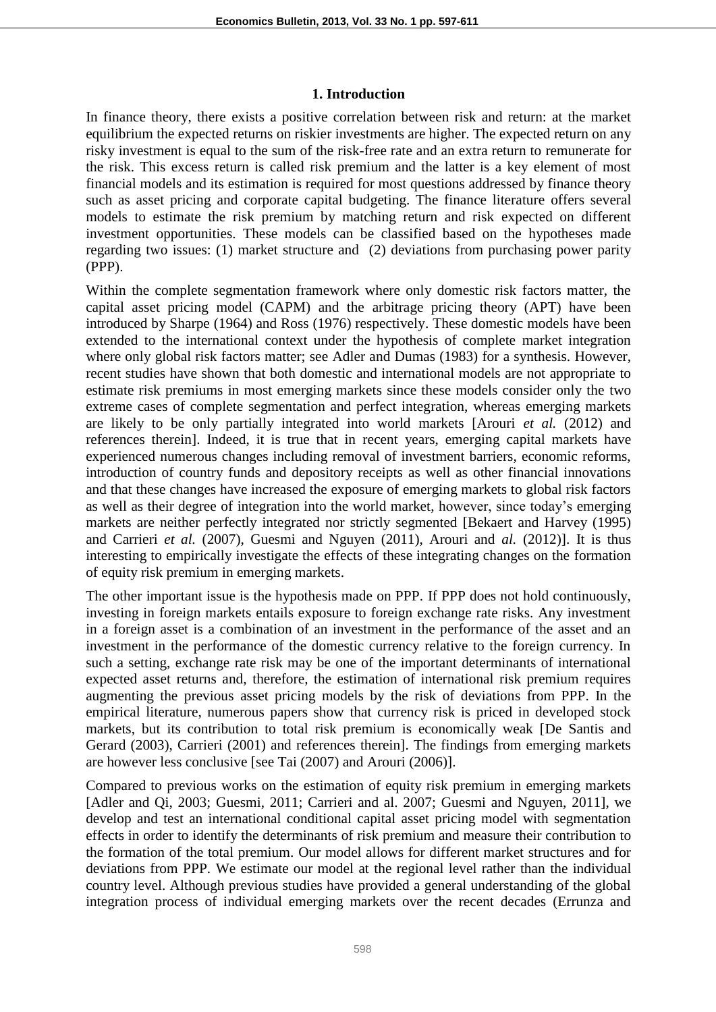### **1. Introduction**

In finance theory, there exists a positive correlation between risk and return: at the market equilibrium the expected returns on riskier investments are higher. The expected return on any risky investment is equal to the sum of the risk-free rate and an extra return to remunerate for the risk. This excess return is called risk premium and the latter is a key element of most financial models and its estimation is required for most questions addressed by finance theory such as asset pricing and corporate capital budgeting. The finance literature offers several models to estimate the risk premium by matching return and risk expected on different investment opportunities. These models can be classified based on the hypotheses made regarding two issues: (1) market structure and (2) deviations from purchasing power parity (PPP).

Within the complete segmentation framework where only domestic risk factors matter, the capital asset pricing model (CAPM) and the arbitrage pricing theory (APT) have been introduced by Sharpe (1964) and Ross (1976) respectively. These domestic models have been extended to the international context under the hypothesis of complete market integration where only global risk factors matter; see Adler and Dumas (1983) for a synthesis. However, recent studies have shown that both domestic and international models are not appropriate to estimate risk premiums in most emerging markets since these models consider only the two extreme cases of complete segmentation and perfect integration, whereas emerging markets are likely to be only partially integrated into world markets [Arouri *et al.* (2012) and references therein]. Indeed, it is true that in recent years, emerging capital markets have experienced numerous changes including removal of investment barriers, economic reforms, introduction of country funds and depository receipts as well as other financial innovations and that these changes have increased the exposure of emerging markets to global risk factors as well as their degree of integration into the world market, however, since today's emerging markets are neither perfectly integrated nor strictly segmented [Bekaert and Harvey (1995) and Carrieri *et al.* (2007), Guesmi and Nguyen (2011), Arouri and *al.* (2012)]. It is thus interesting to empirically investigate the effects of these integrating changes on the formation of equity risk premium in emerging markets.

The other important issue is the hypothesis made on PPP. If PPP does not hold continuously, investing in foreign markets entails exposure to foreign exchange rate risks. Any investment in a foreign asset is a combination of an investment in the performance of the asset and an investment in the performance of the domestic currency relative to the foreign currency. In such a setting, exchange rate risk may be one of the important determinants of international expected asset returns and, therefore, the estimation of international risk premium requires augmenting the previous asset pricing models by the risk of deviations from PPP. In the empirical literature, numerous papers show that currency risk is priced in developed stock markets, but its contribution to total risk premium is economically weak [De Santis and Gerard (2003), Carrieri (2001) and references therein]. The findings from emerging markets are however less conclusive [see Tai (2007) and Arouri (2006)].

Compared to previous works on the estimation of equity risk premium in emerging markets [Adler and Qi, 2003; Guesmi, 2011; Carrieri and al. 2007; Guesmi and Nguyen, 2011], we develop and test an international conditional capital asset pricing model with segmentation effects in order to identify the determinants of risk premium and measure their contribution to the formation of the total premium. Our model allows for different market structures and for deviations from PPP. We estimate our model at the regional level rather than the individual country level. Although previous studies have provided a general understanding of the global integration process of individual emerging markets over the recent decades (Errunza and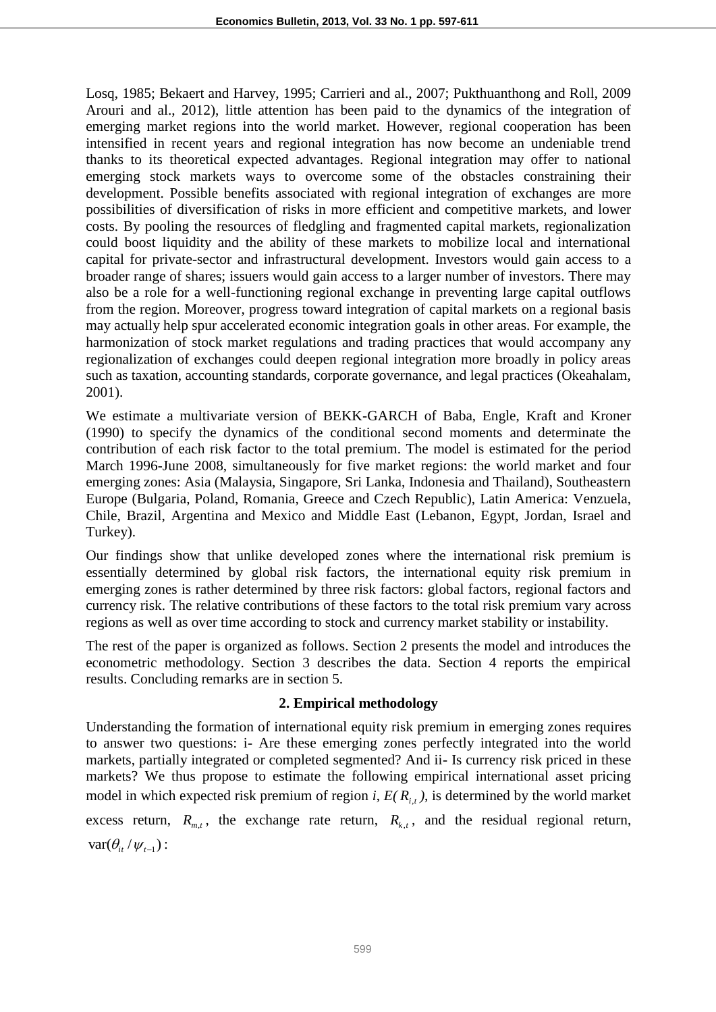Losq, 1985; Bekaert and Harvey, 1995; Carrieri and al., 2007; Pukthuanthong and Roll, 2009 Arouri and al., 2012), little attention has been paid to the dynamics of the integration of emerging market regions into the world market. However, regional cooperation has been intensified in recent years and regional integration has now become an undeniable trend thanks to its theoretical expected advantages. Regional integration may offer to national emerging stock markets ways to overcome some of the obstacles constraining their development. Possible benefits associated with regional integration of exchanges are more possibilities of diversification of risks in more efficient and competitive markets, and lower costs. By pooling the resources of fledgling and fragmented capital markets, regionalization could boost liquidity and the ability of these markets to mobilize local and international capital for private-sector and infrastructural development. Investors would gain access to a broader range of shares; issuers would gain access to a larger number of investors. There may also be a role for a well-functioning regional exchange in preventing large capital outflows from the region. Moreover, progress toward integration of capital markets on a regional basis may actually help spur accelerated economic integration goals in other areas. For example, the harmonization of stock market regulations and trading practices that would accompany any regionalization of exchanges could deepen regional integration more broadly in policy areas such as taxation, accounting standards, corporate governance, and legal practices (Okeahalam, 2001).

We estimate a multivariate version of BEKK-GARCH of Baba, Engle, Kraft and Kroner (1990) to specify the dynamics of the conditional second moments and determinate the contribution of each risk factor to the total premium. The model is estimated for the period March 1996-June 2008, simultaneously for five market regions: the world market and four emerging zones: Asia (Malaysia, Singapore, Sri Lanka, Indonesia and Thailand), Southeastern Europe (Bulgaria, Poland, Romania, Greece and Czech Republic), Latin America: Venzuela, Chile, Brazil, Argentina and Mexico and Middle East (Lebanon, Egypt, Jordan, Israel and Turkey).

Our findings show that unlike developed zones where the international risk premium is essentially determined by global risk factors, the international equity risk premium in emerging zones is rather determined by three risk factors: global factors, regional factors and currency risk. The relative contributions of these factors to the total risk premium vary across regions as well as over time according to stock and currency market stability or instability.

The rest of the paper is organized as follows. Section 2 presents the model and introduces the econometric methodology. Section 3 describes the data. Section 4 reports the empirical results. Concluding remarks are in section 5.

### **2. Empirical methodology**

Understanding the formation of international equity risk premium in emerging zones requires to answer two questions: i- Are these emerging zones perfectly integrated into the world markets, partially integrated or completed segmented? And ii- Is currency risk priced in these markets? We thus propose to estimate the following empirical international asset pricing model in which expected risk premium of region *i*,  $E(R_{i,t})$ , is determined by the world market excess return,  $R_{m,t}$ , the exchange rate return,  $R_{k,t}$ , and the residual regional return,  $var(\theta_{it}/\psi_{t-1})$ :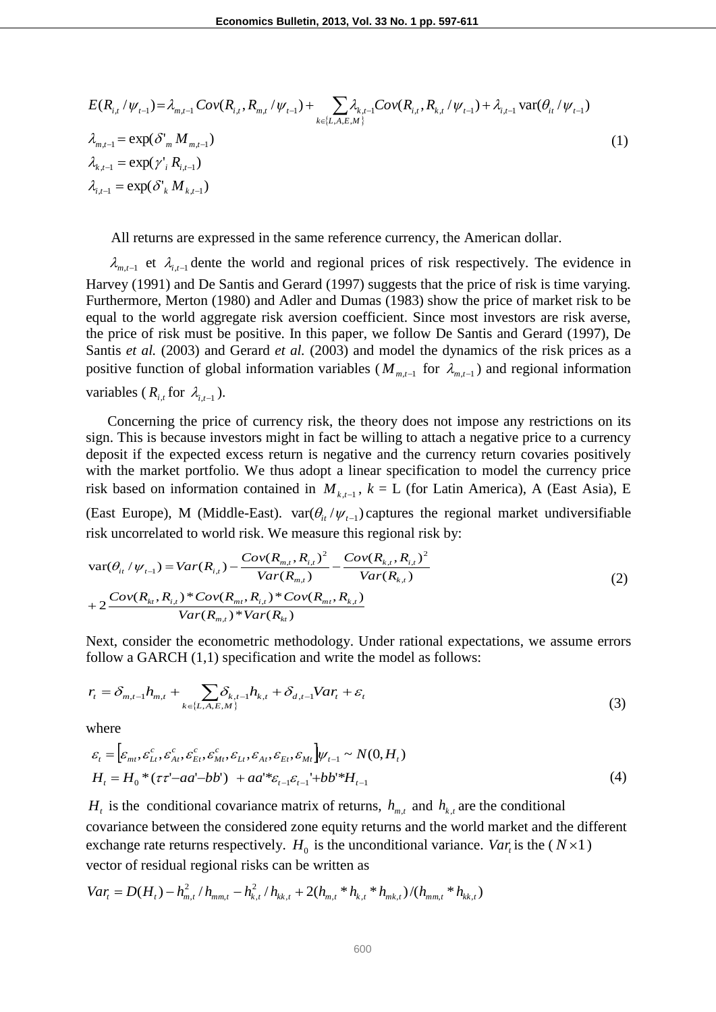$$
E(R_{i,t}/\psi_{t-1}) = \lambda_{m,t-1} Cov(R_{i,t}, R_{m,t}/\psi_{t-1}) + \sum_{k \in \{L, A, E, M\}} \lambda_{k,t-1} Cov(R_{i,t}, R_{k,t}/\psi_{t-1}) + \lambda_{i,t-1} var(\theta_{it}/\psi_{t-1})
$$
  
\n
$$
\lambda_{m,t-1} = exp(\delta'_{m} M_{m,t-1})
$$
\n
$$
\lambda_{k,t-1} = exp(\gamma'_{i} R_{i,t-1})
$$
\n
$$
\lambda_{i,t-1} = exp(\delta'_{k} M_{k,t-1})
$$
\n(1)

All returns are expressed in the same reference currency, the American dollar.

 $\lambda_{m,t-1}$  et  $\lambda_{i,t-1}$  dente the world and regional prices of risk respectively. The evidence in Harvey (1991) and De Santis and Gerard (1997) suggests that the price of risk is time varying. Furthermore, Merton (1980) and Adler and Dumas (1983) show the price of market risk to be equal to the world aggregate risk aversion coefficient. Since most investors are risk averse, the price of risk must be positive. In this paper, we follow De Santis and Gerard (1997), De Santis *et al.* (2003) and Gerard *et al.* (2003) and model the dynamics of the risk prices as a positive function of global information variables ( $M_{m,t-1}$  for  $\lambda_{m,t-1}$ ) and regional information variables ( $R_{i,t}$  for  $\lambda_{i,t-1}$ ).

 Concerning the price of currency risk, the theory does not impose any restrictions on its sign. This is because investors might in fact be willing to attach a negative price to a currency deposit if the expected excess return is negative and the currency return covaries positively with the market portfolio. We thus adopt a linear specification to model the currency price risk based on information contained in  $M_{k,t-1}$ ,  $k = L$  (for Latin America), A (East Asia), E (East Europe), M (Middle-East).  $var(\theta_{it}/\psi_{t-1})$  captures the regional market undiversifiable risk uncorrelated to world risk. We measure this regional risk by:

$$
\begin{aligned}\n\text{var}(\theta_{i_l} / \psi_{t-1}) &= \text{Var}(R_{i,t}) - \frac{\text{Cov}(R_{m,t}, R_{i,t})^2}{\text{Var}(R_{m,t})} - \frac{\text{Cov}(R_{k,t}, R_{i,t})^2}{\text{Var}(R_{k,t})} \\
&\quad + 2 \frac{\text{Cov}(R_{kt}, R_{i,t})^* \text{Cov}(R_{mt}, R_{i,t})^* \text{Cov}(R_{mt}, R_{k,t})}{\text{Var}(R_{m,t})^* \text{Var}(R_{k,t})}\n\end{aligned}\n\tag{2}
$$

Next, consider the econometric methodology. Under rational expectations, we assume errors follow a GARCH  $(1,1)$  specification and write the model as follows:

$$
r_{t} = \delta_{m,t-1} h_{m,t} + \sum_{k \in \{L, A, E, M\}} \delta_{k,t-1} h_{k,t} + \delta_{d,t-1} Var_{t} + \varepsilon_{t}
$$
\n(3)

where

$$
\varepsilon_{t} = \left[\varepsilon_{mt}, \varepsilon_{Lt}^{c}, \varepsilon_{At}^{c}, \varepsilon_{Et}^{c}, \varepsilon_{Mt}^{c}, \varepsilon_{Li}, \varepsilon_{At}, \varepsilon_{Et}, \varepsilon_{Mt}\right] \psi_{t-1} \sim N(0, H_{t})
$$
\n
$$
H_{t} = H_{0} * (\tau \tau' - aa' - bb') + aa' * \varepsilon_{t-1} \varepsilon_{t-1} + bb' * H_{t-1}
$$
\n
$$
\tag{4}
$$

*H*<sub>t</sub> is the conditional covariance matrix of returns,  $h_{m,t}$  and  $h_{k,t}$  are the conditional covariance between the considered zone equity returns and the world market and the different exchange rate returns respectively.  $H_0$  is the unconditional variance. *Var<sub>t</sub>* is the ( $N \times 1$ ) vector of residual regional risks can be written as

*Var<sub>t</sub>* = 
$$
D(H_t) - h_{m,t}^2 / h_{mm,t} - h_{k,t}^2 / h_{kk,t} + 2(h_{m,t} * h_{k,t} * h_{mk,t}) / (h_{mm,t} * h_{kk,t})
$$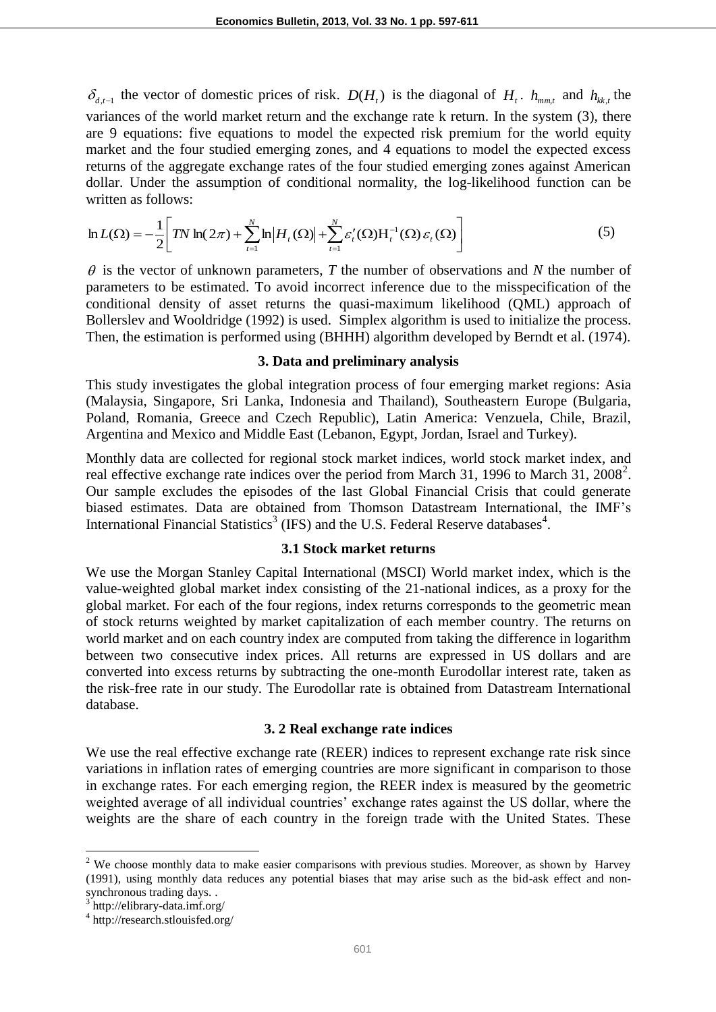$\delta_{d,t-1}$  the vector of domestic prices of risk.  $D(H_t)$  is the diagonal of  $H_t$ .  $h_{mm,t}$  and  $h_{kk,t}$  the variances of the world market return and the exchange rate k return. In the system (3), there are 9 equations: five equations to model the expected risk premium for the world equity market and the four studied emerging zones, and 4 equations to model the expected excess returns of the aggregate exchange rates of the four studied emerging zones against American dollar. Under the assumption of conditional normality, the log-likelihood function can be written as follows:

$$
\ln L(\Omega) = -\frac{1}{2} \Bigg[ TN \ln(2\pi) + \sum_{t=1}^{N} \ln \left| H_t(\Omega) \right| + \sum_{t=1}^{N} \varepsilon'_t(\Omega) H_t^{-1}(\Omega) \varepsilon_t(\Omega) \Bigg]
$$
(5)

 $\theta$  is the vector of unknown parameters, *T* the number of observations and *N* the number of parameters to be estimated. To avoid incorrect inference due to the misspecification of the conditional density of asset returns the quasi-maximum likelihood (QML) approach of Bollerslev and Wooldridge (1992) is used. Simplex algorithm is used to initialize the process. Then, the estimation is performed using (BHHH) algorithm developed by Berndt et al. (1974).

#### **3. Data and preliminary analysis**

This study investigates the global integration process of four emerging market regions: Asia (Malaysia, Singapore, Sri Lanka, Indonesia and Thailand), Southeastern Europe (Bulgaria, Poland, Romania, Greece and Czech Republic), Latin America: Venzuela, Chile, Brazil, Argentina and Mexico and Middle East (Lebanon, Egypt, Jordan, Israel and Turkey).

Monthly data are collected for regional stock market indices, world stock market index, and real effective exchange rate indices over the period from March 31, 1996 to March 31, 2008<sup>2</sup>. Our sample excludes the episodes of the last Global Financial Crisis that could generate biased estimates. Data are obtained from Thomson Datastream International, the IMF's International Financial Statistics<sup>3</sup> (IFS) and the U.S. Federal Reserve databases<sup>4</sup>.

#### **3.1 Stock market returns**

We use the Morgan Stanley Capital International (MSCI) World market index, which is the value-weighted global market index consisting of the 21-national indices, as a proxy for the global market. For each of the four regions, index returns corresponds to the geometric mean of stock returns weighted by market capitalization of each member country. The returns on world market and on each country index are computed from taking the difference in logarithm between two consecutive index prices. All returns are expressed in US dollars and are converted into excess returns by subtracting the one-month Eurodollar interest rate, taken as the risk-free rate in our study. The Eurodollar rate is obtained from Datastream International database.

#### **3. 2 Real exchange rate indices**

We use the real effective exchange rate (REER) indices to represent exchange rate risk since variations in inflation rates of emerging countries are more significant in comparison to those in exchange rates. For each emerging region, the REER index is measured by the geometric weighted average of all individual countries' exchange rates against the US dollar, where the weights are the share of each country in the foreign trade with the United States. These

 $2$  We choose monthly data to make easier comparisons with previous studies. Moreover, as shown by Harvey (1991), using monthly data reduces any potential biases that may arise such as the bid-ask effect and nonsynchronous trading days. .

<sup>3</sup> http://elibrary-data.imf.org/

<sup>4</sup> http://research.stlouisfed.org/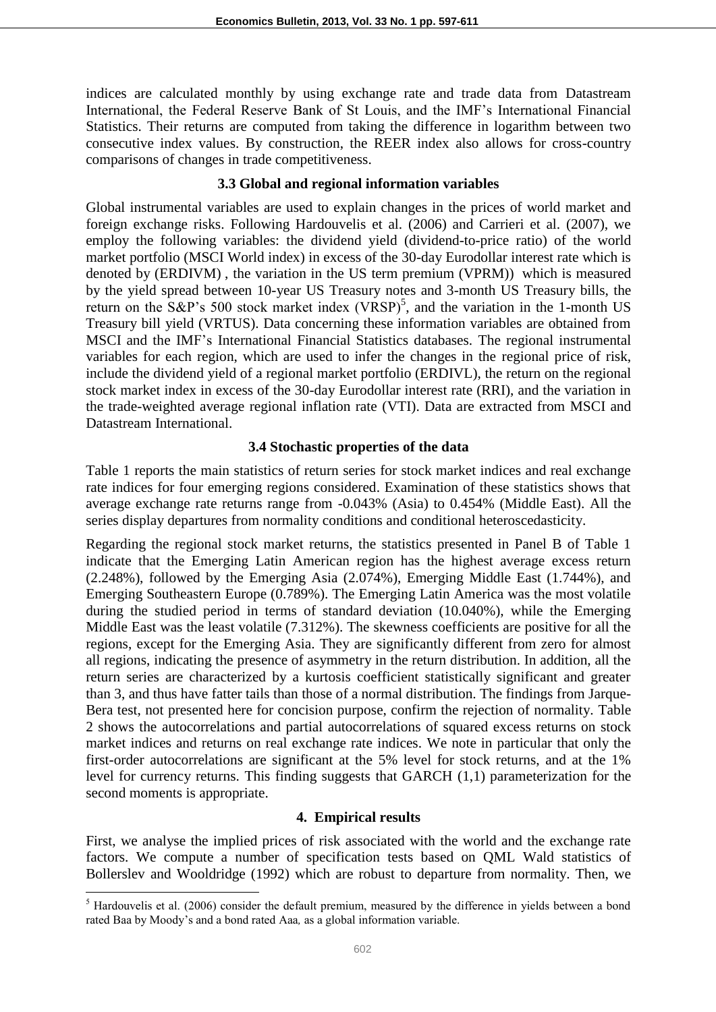indices are calculated monthly by using exchange rate and trade data from Datastream International, the Federal Reserve Bank of St Louis, and the IMF's International Financial Statistics. Their returns are computed from taking the difference in logarithm between two consecutive index values. By construction, the REER index also allows for cross-country comparisons of changes in trade competitiveness.

#### **3.3 Global and regional information variables**

Global instrumental variables are used to explain changes in the prices of world market and foreign exchange risks. Following Hardouvelis et al. (2006) and Carrieri et al. (2007), we employ the following variables: the dividend yield (dividend-to-price ratio) of the world market portfolio (MSCI World index) in excess of the 30-day Eurodollar interest rate which is denoted by (ERDIVM) , the variation in the US term premium (VPRM)) which is measured by the yield spread between 10-year US Treasury notes and 3-month US Treasury bills, the return on the S&P's 500 stock market index  $(VRSP)^5$ , and the variation in the 1-month US Treasury bill yield (VRTUS). Data concerning these information variables are obtained from MSCI and the IMF's International Financial Statistics databases*.* The regional instrumental variables for each region, which are used to infer the changes in the regional price of risk, include the dividend yield of a regional market portfolio (ERDIVL), the return on the regional stock market index in excess of the 30-day Eurodollar interest rate (RRI), and the variation in the trade-weighted average regional inflation rate (VTI). Data are extracted from MSCI and Datastream International.

#### **3.4 Stochastic properties of the data**

Table 1 reports the main statistics of return series for stock market indices and real exchange rate indices for four emerging regions considered. Examination of these statistics shows that average exchange rate returns range from -0.043% (Asia) to 0.454% (Middle East). All the series display departures from normality conditions and conditional heteroscedasticity.

Regarding the regional stock market returns, the statistics presented in Panel B of Table 1 indicate that the Emerging Latin American region has the highest average excess return (2.248%), followed by the Emerging Asia (2.074%), Emerging Middle East (1.744%), and Emerging Southeastern Europe (0.789%). The Emerging Latin America was the most volatile during the studied period in terms of standard deviation (10.040%), while the Emerging Middle East was the least volatile (7.312%). The skewness coefficients are positive for all the regions, except for the Emerging Asia. They are significantly different from zero for almost all regions, indicating the presence of asymmetry in the return distribution. In addition, all the return series are characterized by a kurtosis coefficient statistically significant and greater than 3, and thus have fatter tails than those of a normal distribution. The findings from Jarque-Bera test, not presented here for concision purpose, confirm the rejection of normality. Table 2 shows the autocorrelations and partial autocorrelations of squared excess returns on stock market indices and returns on real exchange rate indices. We note in particular that only the first-order autocorrelations are significant at the 5% level for stock returns, and at the 1% level for currency returns. This finding suggests that GARCH (1,1) parameterization for the second moments is appropriate.

### **4. Empirical results**

First, we analyse the implied prices of risk associated with the world and the exchange rate factors. We compute a number of specification tests based on QML Wald statistics of Bollerslev and Wooldridge (1992) which are robust to departure from normality. Then, we

 $\overline{a}$ 

<sup>&</sup>lt;sup>5</sup> Hardouvelis et al. (2006) consider the default premium, measured by the difference in yields between a bond rated Baa by Moody's and a bond rated Aaa*,* as a global information variable.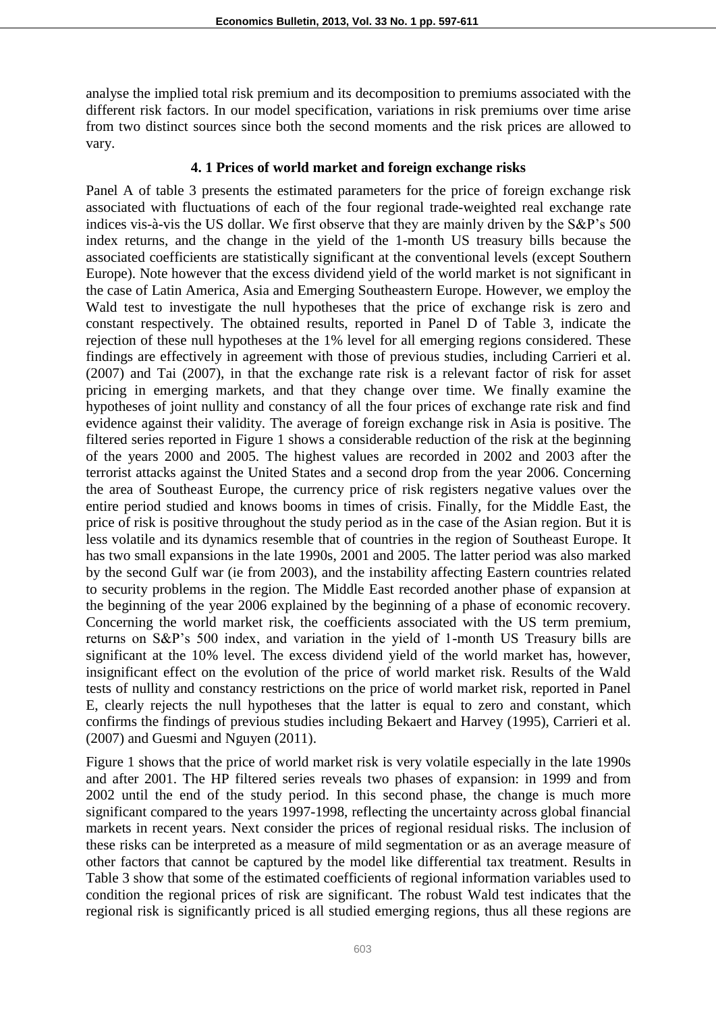analyse the implied total risk premium and its decomposition to premiums associated with the different risk factors. In our model specification, variations in risk premiums over time arise from two distinct sources since both the second moments and the risk prices are allowed to vary.

#### **4. 1 Prices of world market and foreign exchange risks**

Panel A of table 3 presents the estimated parameters for the price of foreign exchange risk associated with fluctuations of each of the four regional trade-weighted real exchange rate indices vis-à-vis the US dollar. We first observe that they are mainly driven by the S&P's 500 index returns, and the change in the yield of the 1-month US treasury bills because the associated coefficients are statistically significant at the conventional levels (except Southern Europe). Note however that the excess dividend yield of the world market is not significant in the case of Latin America, Asia and Emerging Southeastern Europe. However, we employ the Wald test to investigate the null hypotheses that the price of exchange risk is zero and constant respectively. The obtained results, reported in Panel D of Table 3, indicate the rejection of these null hypotheses at the 1% level for all emerging regions considered. These findings are effectively in agreement with those of previous studies, including Carrieri et al. (2007) and Tai (2007), in that the exchange rate risk is a relevant factor of risk for asset pricing in emerging markets, and that they change over time. We finally examine the hypotheses of joint nullity and constancy of all the four prices of exchange rate risk and find evidence against their validity. The average of foreign exchange risk in Asia is positive. The filtered series reported in Figure 1 shows a considerable reduction of the risk at the beginning of the years 2000 and 2005. The highest values are recorded in 2002 and 2003 after the terrorist attacks against the United States and a second drop from the year 2006. Concerning the area of Southeast Europe, the currency price of risk registers negative values over the entire period studied and knows booms in times of crisis. Finally, for the Middle East, the price of risk is positive throughout the study period as in the case of the Asian region. But it is less volatile and its dynamics resemble that of countries in the region of Southeast Europe. It has two small expansions in the late 1990s, 2001 and 2005. The latter period was also marked by the second Gulf war (ie from 2003), and the instability affecting Eastern countries related to security problems in the region. The Middle East recorded another phase of expansion at the beginning of the year 2006 explained by the beginning of a phase of economic recovery. Concerning the world market risk, the coefficients associated with the US term premium, returns on S&P's 500 index, and variation in the yield of 1-month US Treasury bills are significant at the 10% level. The excess dividend yield of the world market has, however, insignificant effect on the evolution of the price of world market risk. Results of the Wald tests of nullity and constancy restrictions on the price of world market risk, reported in Panel E, clearly rejects the null hypotheses that the latter is equal to zero and constant, which confirms the findings of previous studies including Bekaert and Harvey (1995), Carrieri et al. (2007) and Guesmi and Nguyen (2011).

Figure 1 shows that the price of world market risk is very volatile especially in the late 1990s and after 2001. The HP filtered series reveals two phases of expansion: in 1999 and from 2002 until the end of the study period. In this second phase, the change is much more significant compared to the years 1997-1998, reflecting the uncertainty across global financial markets in recent years. Next consider the prices of regional residual risks. The inclusion of these risks can be interpreted as a measure of mild segmentation or as an average measure of other factors that cannot be captured by the model like differential tax treatment. Results in Table 3 show that some of the estimated coefficients of regional information variables used to condition the regional prices of risk are significant. The robust Wald test indicates that the regional risk is significantly priced is all studied emerging regions, thus all these regions are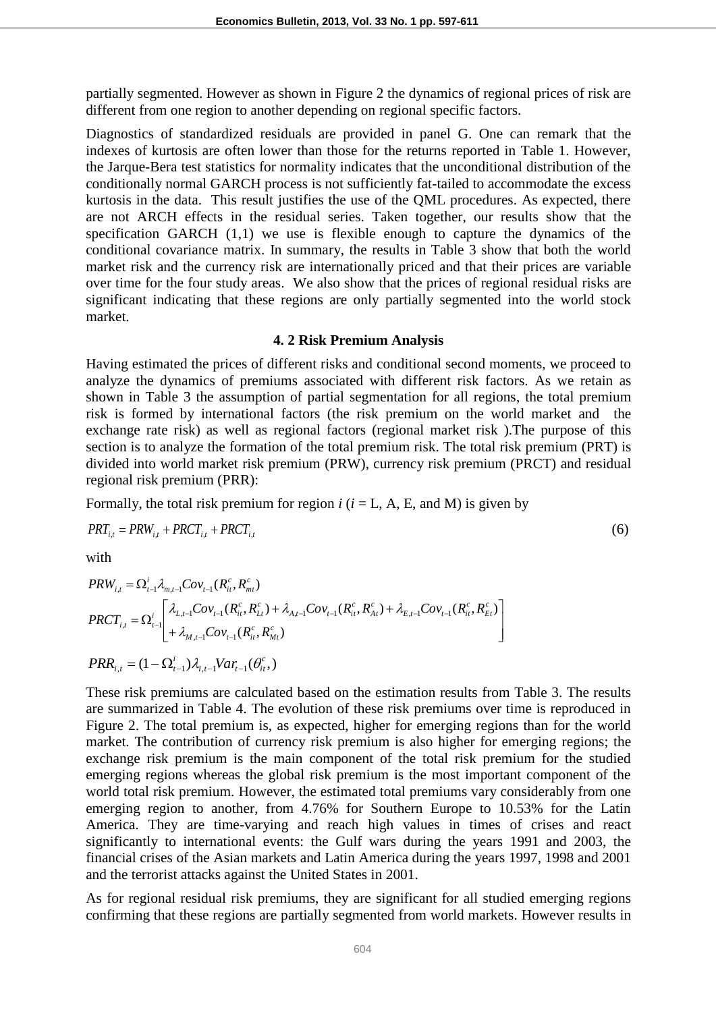partially segmented. However as shown in Figure 2 the dynamics of regional prices of risk are different from one region to another depending on regional specific factors.

Diagnostics of standardized residuals are provided in panel G. One can remark that the indexes of kurtosis are often lower than those for the returns reported in Table 1. However, the Jarque-Bera test statistics for normality indicates that the unconditional distribution of the conditionally normal GARCH process is not sufficiently fat-tailed to accommodate the excess kurtosis in the data. This result justifies the use of the QML procedures. As expected, there are not ARCH effects in the residual series. Taken together, our results show that the specification GARCH (1,1) we use is flexible enough to capture the dynamics of the conditional covariance matrix. In summary, the results in Table 3 show that both the world market risk and the currency risk are internationally priced and that their prices are variable over time for the four study areas. We also show that the prices of regional residual risks are significant indicating that these regions are only partially segmented into the world stock market.

#### **4. 2 Risk Premium Analysis**

Having estimated the prices of different risks and conditional second moments, we proceed to analyze the dynamics of premiums associated with different risk factors. As we retain as shown in Table 3 the assumption of partial segmentation for all regions, the total premium risk is formed by international factors (the risk premium on the world market and the exchange rate risk) as well as regional factors (regional market risk ).The purpose of this section is to analyze the formation of the total premium risk. The total risk premium (PRT) is divided into world market risk premium (PRW), currency risk premium (PRCT) and residual regional risk premium (PRR):

Formally, the total risk premium for region  $i$  ( $i =$  L, A, E, and M) is given by

$$
PRT_{i,t} = PRW_{i,t} + PRCT_{i,t} + PRCT_{i,t}
$$
\n
$$
\tag{6}
$$

with  $\mathbf{w}$  with  $\mathbf{w}$  and  $\mathbf{w}$  and  $\mathbf{w}$  and  $\mathbf{w}$  and  $\mathbf{w}$  and  $\mathbf{w}$  and  $\mathbf{w}$  and  $\mathbf{w}$  and  $\mathbf{w}$  and  $\mathbf{w}$  and  $\mathbf{w}$  and  $\mathbf{w}$  and  $\mathbf{w}$  and  $\mathbf{w}$  and  $\mathbf{w}$  and  $\mathbf{w}$ 

$$
PRW_{i,t} = \Omega_{t-1}^{i} \lambda_{m,t-1} Cov_{t-1}(R_{it}^{c}, R_{mt}^{c})
$$
\n
$$
PRCT_{i,t} = \Omega_{t-1}^{i} \left[ \lambda_{L,t-1} Cov_{t-1}(R_{it}^{c}, R_{Lt}^{c}) + \lambda_{A,t-1} Cov_{t-1}(R_{it}^{c}, R_{At}^{c}) + \lambda_{E,t-1} Cov_{t-1}(R_{it}^{c}, R_{Et}^{c}) \right]
$$
\n
$$
PRR_{i,t} = (1 - \Omega_{t-1}^{i}) \lambda_{i,t-1} Var_{t-1}(\theta_{it}^{c}, R_{st}^{c})
$$

These risk premiums are calculated based on the estimation results from Table 3. The results are summarized in Table 4. The evolution of these risk premiums over time is reproduced in Figure 2. The total premium is, as expected, higher for emerging regions than for the world market. The contribution of currency risk premium is also higher for emerging regions; the exchange risk premium is the main component of the total risk premium for the studied emerging regions whereas the global risk premium is the most important component of the world total risk premium. However, the estimated total premiums vary considerably from one emerging region to another, from 4.76% for Southern Europe to 10.53% for the Latin America. They are time-varying and reach high values in times of crises and react significantly to international events: the Gulf wars during the years 1991 and 2003, the financial crises of the Asian markets and Latin America during the years 1997, 1998 and 2001 and the terrorist attacks against the United States in 2001.

As for regional residual risk premiums, they are significant for all studied emerging regions confirming that these regions are partially segmented from world markets. However results in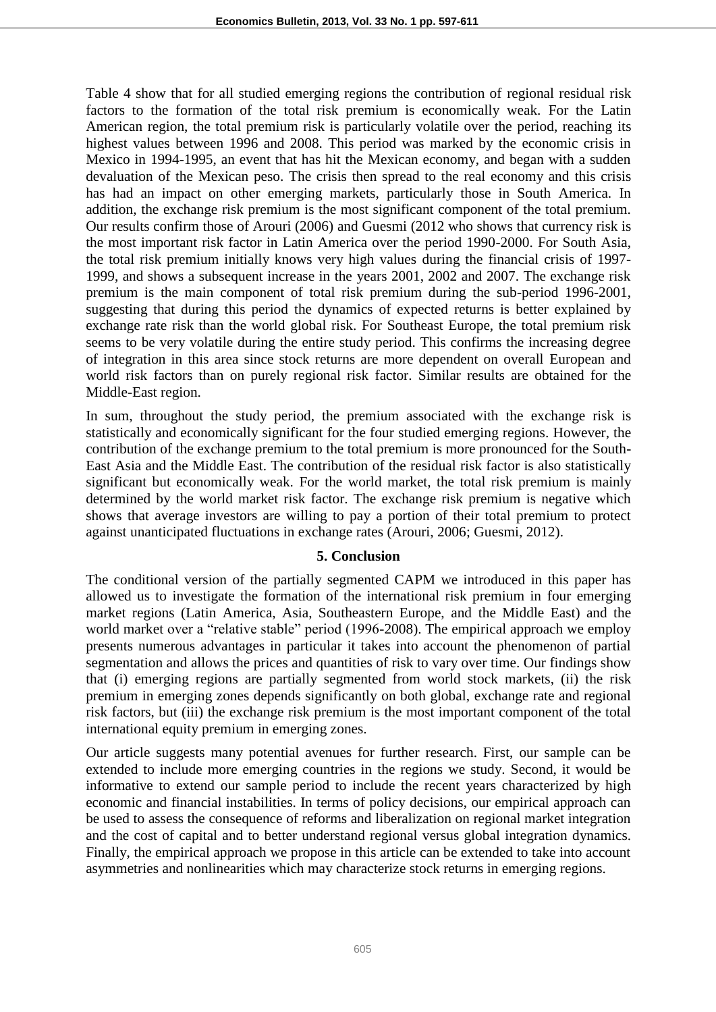Table 4 show that for all studied emerging regions the contribution of regional residual risk factors to the formation of the total risk premium is economically weak. For the Latin American region, the total premium risk is particularly volatile over the period, reaching its highest values between 1996 and 2008. This period was marked by the economic crisis in Mexico in 1994-1995, an event that has hit the Mexican economy, and began with a sudden devaluation of the Mexican peso. The crisis then spread to the real economy and this crisis has had an impact on other emerging markets, particularly those in South America. In addition, the exchange risk premium is the most significant component of the total premium. Our results confirm those of Arouri (2006) and Guesmi (2012 who shows that currency risk is the most important risk factor in Latin America over the period 1990-2000. For South Asia, the total risk premium initially knows very high values during the financial crisis of 1997- 1999, and shows a subsequent increase in the years 2001, 2002 and 2007. The exchange risk premium is the main component of total risk premium during the sub-period 1996-2001, suggesting that during this period the dynamics of expected returns is better explained by exchange rate risk than the world global risk. For Southeast Europe, the total premium risk seems to be very volatile during the entire study period. This confirms the increasing degree of integration in this area since stock returns are more dependent on overall European and world risk factors than on purely regional risk factor. Similar results are obtained for the Middle-East region.

In sum, throughout the study period, the premium associated with the exchange risk is statistically and economically significant for the four studied emerging regions. However, the contribution of the exchange premium to the total premium is more pronounced for the South-East Asia and the Middle East. The contribution of the residual risk factor is also statistically significant but economically weak. For the world market, the total risk premium is mainly determined by the world market risk factor. The exchange risk premium is negative which shows that average investors are willing to pay a portion of their total premium to protect against unanticipated fluctuations in exchange rates (Arouri, 2006; Guesmi, 2012).

#### **5. Conclusion**

The conditional version of the partially segmented CAPM we introduced in this paper has allowed us to investigate the formation of the international risk premium in four emerging market regions (Latin America, Asia, Southeastern Europe, and the Middle East) and the world market over a "relative stable" period (1996-2008). The empirical approach we employ presents numerous advantages in particular it takes into account the phenomenon of partial segmentation and allows the prices and quantities of risk to vary over time. Our findings show that (i) emerging regions are partially segmented from world stock markets, (ii) the risk premium in emerging zones depends significantly on both global, exchange rate and regional risk factors, but (iii) the exchange risk premium is the most important component of the total international equity premium in emerging zones.

Our article suggests many potential avenues for further research. First, our sample can be extended to include more emerging countries in the regions we study. Second, it would be informative to extend our sample period to include the recent years characterized by high economic and financial instabilities. In terms of policy decisions, our empirical approach can be used to assess the consequence of reforms and liberalization on regional market integration and the cost of capital and to better understand regional versus global integration dynamics. Finally, the empirical approach we propose in this article can be extended to take into account asymmetries and nonlinearities which may characterize stock returns in emerging regions.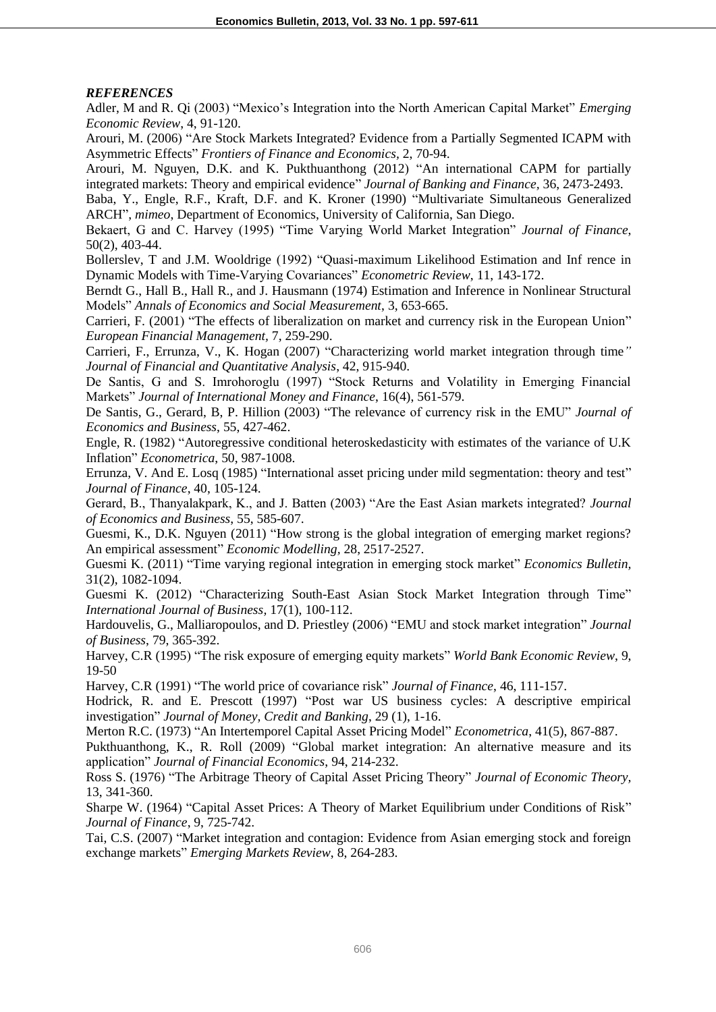#### *REFERENCES*

Adler, M and R. Qi (2003) "Mexico's Integration into the North American Capital Market" *Emerging Economic Review*, 4, 91-120.

Arouri, M. (2006) "Are Stock Markets Integrated? Evidence from a Partially Segmented ICAPM with Asymmetric Effects" *Frontiers of Finance and Economics,* 2, 70-94.

Arouri, M. Nguyen, D.K. and K. Pukthuanthong (2012) "An international CAPM for partially integrated markets: Theory and empirical evidence" *Journal of Banking and Finance,* 36, 2473-2493.

Baba, Y., Engle, R.F., Kraft, D.F. and K. Kroner (1990) "Multivariate Simultaneous Generalized ARCH", *mimeo*, Department of Economics, University of California, San Diego.

Bekaert, G and C. Harvey (1995) "Time Varying World Market Integration" *Journal of Finance*, 50(2), 403-44.

Bollerslev, T and J.M. Wooldrige (1992) "Quasi-maximum Likelihood Estimation and Inf rence in Dynamic Models with Time-Varying Covariances" *Econometric Review*, 11, 143-172.

Berndt G., Hall B., Hall R., and J. Hausmann (1974) Estimation and Inference in Nonlinear Structural Models" *Annals of Economics and Social Measurement*, 3, 653-665.

Carrieri, F. (2001) "The effects of liberalization on market and currency risk in the European Union" *European Financial Management,* 7, 259-290.

Carrieri, F., Errunza, V., K. Hogan (2007) "Characterizing world market integration through time*" Journal of Financial and Quantitative Analysis*, 42, 915-940.

De Santis, G and S. Imrohoroglu (1997) "Stock Returns and Volatility in Emerging Financial Markets" *Journal of International Money and Finance*, 16(4), 561-579.

De Santis, G., Gerard, B, P. Hillion (2003) "The relevance of currency risk in the EMU" *Journal of Economics and Business*, 55, 427-462.

Engle, R. (1982) "Autoregressive conditional heteroskedasticity with estimates of the variance of U.K Inflation" *Econometrica*, 50, 987-1008.

Errunza, V. And E. Losq (1985) "International asset pricing under mild segmentation: theory and test" *Journal of Finance*, 40, 105-124.

Gerard, B., Thanyalakpark, K., and J. Batten (2003) "Are the East Asian markets integrated? *Journal of Economics and Business*, 55, 585-607.

Guesmi, K., D.K. Nguyen (2011) "How strong is the global integration of emerging market regions? An empirical assessment" *Economic Modelling,* 28, 2517-2527.

Guesmi K. (2011) "Time varying regional integration in emerging stock market" *Economics Bulletin,* 31(2), 1082-1094.

Guesmi K. (2012) "Characterizing South-East Asian Stock Market Integration through Time" *International Journal of Business,* 17(1), 100-112.

Hardouvelis, G., Malliaropoulos, and D. Priestley (2006) "EMU and stock market integration" *Journal of Business*, 79, 365-392.

Harvey, C.R (1995) "The risk exposure of emerging equity markets" *World Bank Economic Review*, 9, 19-50

Harvey, C.R (1991) "The world price of covariance risk" *Journal of Finance*, 46, 111-157.

Hodrick, R. and E. Prescott (1997) "Post war US business cycles: A descriptive empirical investigation" *Journal of Money, Credit and Banking*, 29 (1), 1-16.

Merton R.C. (1973) "An Intertemporel Capital Asset Pricing Model" *Econometrica*, 41(5), 867-887.

Pukthuanthong, K., R. Roll (2009) "Global market integration: An alternative measure and its application" *Journal of Financial Economics*, 94, 214-232.

Ross S. (1976) "The Arbitrage Theory of Capital Asset Pricing Theory" *Journal of Economic Theory,* 13, 341-360.

Sharpe W. (1964) "Capital Asset Prices: A Theory of Market Equilibrium under Conditions of Risk" *Journal of Finance*, 9, 725-742.

Tai, C.S. (2007) "Market integration and contagion: Evidence from Asian emerging stock and foreign exchange markets" *Emerging Markets Review*, 8, 264-283.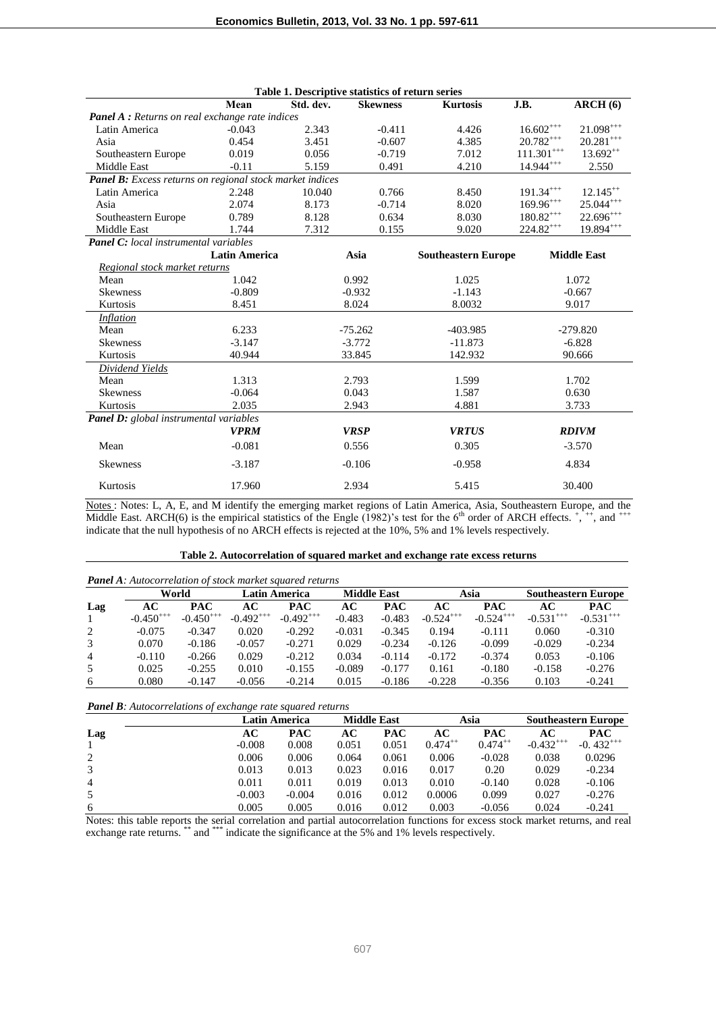| Table 1. Descriptive statistics of return series         |                      |           |                 |                            |                   |                    |  |
|----------------------------------------------------------|----------------------|-----------|-----------------|----------------------------|-------------------|--------------------|--|
|                                                          | Mean                 | Std. dev. | <b>Skewness</b> | <b>Kurtosis</b>            | J.B.              | $\bf{ARCH}(6)$     |  |
| <b>Panel A</b> : Returns on real exchange rate indices   |                      |           |                 |                            |                   |                    |  |
| Latin America                                            | $-0.043$             | 2.343     | $-0.411$        | 4.426                      | $16.602^{+++}$    | $21.098***$        |  |
| Asia                                                     | 0.454                | 3.451     | $-0.607$        | 4.385                      | $20.782^{+++}$    | $20.281***$        |  |
| Southeastern Europe                                      | 0.019                | 0.056     | $-0.719$        | 7.012                      | $111.301^{++}$    | $13.692^{++}$      |  |
| Middle East                                              | $-0.11$              | 5.159     | 0.491           | 4.210                      | $14.944^{+++}$    | 2.550              |  |
| Panel B: Excess returns on regional stock market indices |                      |           |                 |                            |                   |                    |  |
| Latin America                                            | 2.248                | 10.040    | 0.766           | 8.450                      | $191.34***$       | $12.145^{++}$      |  |
| Asia                                                     | 2.074                | 8.173     | $-0.714$        | 8.020                      | $169.96^{+++}$    | $25.044***$        |  |
| Southeastern Europe                                      | 0.789                | 8.128     | 0.634           | 8.030                      | $180.82^{\rm ++}$ | $22.696^{+++}$     |  |
| <b>Middle East</b>                                       | 1.744                | 7.312     | 0.155           | 9.020                      | $224.82***$       | $19.894***$        |  |
| <b>Panel C:</b> local instrumental variables             |                      |           |                 |                            |                   |                    |  |
|                                                          | <b>Latin America</b> |           | Asia            | <b>Southeastern Europe</b> |                   | <b>Middle East</b> |  |
| Regional stock market returns                            |                      |           |                 |                            |                   |                    |  |
| Mean                                                     | 1.042                |           | 0.992           | 1.025                      |                   | 1.072              |  |
| <b>Skewness</b>                                          | $-0.809$             |           | $-0.932$        | $-1.143$                   | $-0.667$          |                    |  |
| Kurtosis                                                 | 8.451                |           | 8.024           | 8.0032                     | 9.017             |                    |  |
| <b>Inflation</b>                                         |                      |           |                 |                            |                   |                    |  |
| Mean                                                     | 6.233                |           | $-75.262$       | $-403.985$                 |                   | $-279.820$         |  |
| <b>Skewness</b>                                          | $-3.147$             |           | $-3.772$        | $-11.873$                  | $-6.828$          |                    |  |
| Kurtosis                                                 | 40.944               |           | 33.845          | 142.932                    | 90.666            |                    |  |
| <b>Dividend Yields</b>                                   |                      |           |                 |                            |                   |                    |  |
| Mean                                                     | 1.313                |           | 2.793           | 1.599                      |                   | 1.702              |  |
| <b>Skewness</b>                                          | $-0.064$             |           | 0.043           | 1.587                      | 0.630             |                    |  |
| Kurtosis                                                 | 2.035                |           | 2.943           | 4.881                      |                   | 3.733              |  |
| Panel D: global instrumental variables                   |                      |           |                 |                            |                   |                    |  |
|                                                          | <b>VPRM</b>          |           | <b>VRSP</b>     | <b>VRTUS</b>               |                   | <b>RDIVM</b>       |  |
| Mean                                                     | $-0.081$             |           | 0.556           | 0.305                      |                   | $-3.570$           |  |
| <b>Skewness</b>                                          | $-3.187$             |           | $-0.106$        | $-0.958$                   | 4.834             |                    |  |
| Kurtosis                                                 | 17.960               |           | 2.934           | 5.415                      |                   | 30.400             |  |

Notes : Notes: L, A, E, and M identify the emerging market regions of Latin America, Asia, Southeastern Europe, and the Middle East. ARCH(6) is the empirical statistics of the Engle (1982)'s test for the 6<sup>th</sup> order of ARCH effects.  $\dot{+}, \dot{+},$  and  $\dot{+}$ indicate that the null hypothesis of no ARCH effects is rejected at the 10%, 5% and 1% levels respectively.

| Table 2. Autocorrelation of squared market and exchange rate excess returns |  |  |
|-----------------------------------------------------------------------------|--|--|
|                                                                             |  |  |

|                | <b>Panel A:</b> Autocorrelation of stock market squared returns |               |                                            |                |          |            |                         |                            |               |                |
|----------------|-----------------------------------------------------------------|---------------|--------------------------------------------|----------------|----------|------------|-------------------------|----------------------------|---------------|----------------|
|                | World                                                           |               | <b>Latin America</b><br><b>Middle East</b> |                |          | Asia       |                         | <b>Southeastern Europe</b> |               |                |
| Lag            | AC                                                              | <b>PAC</b>    | AС                                         | <b>PAC</b>     | AC       | <b>PAC</b> | AC                      | <b>PAC</b>                 | AС            | <b>PAC</b>     |
| $\mathbf{1}$   | $-0.450^{++}$                                                   | $-0.450^{++}$ | $-0.492^{+++}$                             | $-0.492^{+++}$ | $-0.483$ | $-0.483$   | $-0.524$ <sup>+++</sup> | $-0.524^{+++}$             | $-0.531^{++}$ | $-0.531^{+++}$ |
| 2              | $-0.075$                                                        | $-0.347$      | 0.020                                      | $-0.292$       | $-0.031$ | $-0.345$   | 0.194                   | $-0.111$                   | 0.060         | $-0.310$       |
| 3              | 0.070                                                           | $-0.186$      | $-0.057$                                   | $-0.271$       | 0.029    | $-0.234$   | $-0.126$                | $-0.099$                   | $-0.029$      | $-0.234$       |
| $\overline{4}$ | $-0.110$                                                        | $-0.266$      | 0.029                                      | $-0.212$       | 0.034    | $-0.114$   | $-0.172$                | $-0.374$                   | 0.053         | $-0.106$       |
| 5              | 0.025                                                           | $-0.255$      | 0.010                                      | $-0.155$       | $-0.089$ | $-0.177$   | 0.161                   | $-0.180$                   | $-0.158$      | $-0.276$       |
| 6              | 0.080                                                           | $-0.147$      | $-0.056$                                   | $-0.214$       | 0.015    | $-0.186$   | $-0.228$                | $-0.356$                   | 0.103         | $-0.241$       |

#### *Panel B: Autocorrelations of exchange rate squared returns*

|                |          | Latin America |       | <b>Middle East</b> |              | Asia         |                | <b>Southeastern Europe</b> |
|----------------|----------|---------------|-------|--------------------|--------------|--------------|----------------|----------------------------|
| Lag            | АC       | <b>PAC</b>    | AС    | <b>PAC</b>         | AC           | <b>PAC</b>   | АC             | <b>PAC</b>                 |
|                | $-0.008$ | 0.008         | 0.051 | 0.051              | $0.474^{++}$ | $0.474^{++}$ | $-0.432^{+++}$ | $-0.432^{+++}$             |
| 2              | 0.006    | 0.006         | 0.064 | 0.061              | 0.006        | $-0.028$     | 0.038          | 0.0296                     |
| 3              | 0.013    | 0.013         | 0.023 | 0.016              | 0.017        | 0.20         | 0.029          | $-0.234$                   |
| $\overline{4}$ | 0.011    | 0.011         | 0.019 | 0.013              | 0.010        | $-0.140$     | 0.028          | $-0.106$                   |
| .5             | $-0.003$ | $-0.004$      | 0.016 | 0.012              | 0.0006       | 0.099        | 0.027          | $-0.276$                   |
| 6              | 0.005    | 0.005         | 0.016 | 0.012              | 0.003        | $-0.056$     | 0.024          | $-0.241$                   |

Notes: this table reports the serial correlation and partial autocorrelation functions for excess stock market returns, and real exchange rate returns. \*\*\* and \*\*\*\* indicate the significance at the 5% and 1% levels respectively.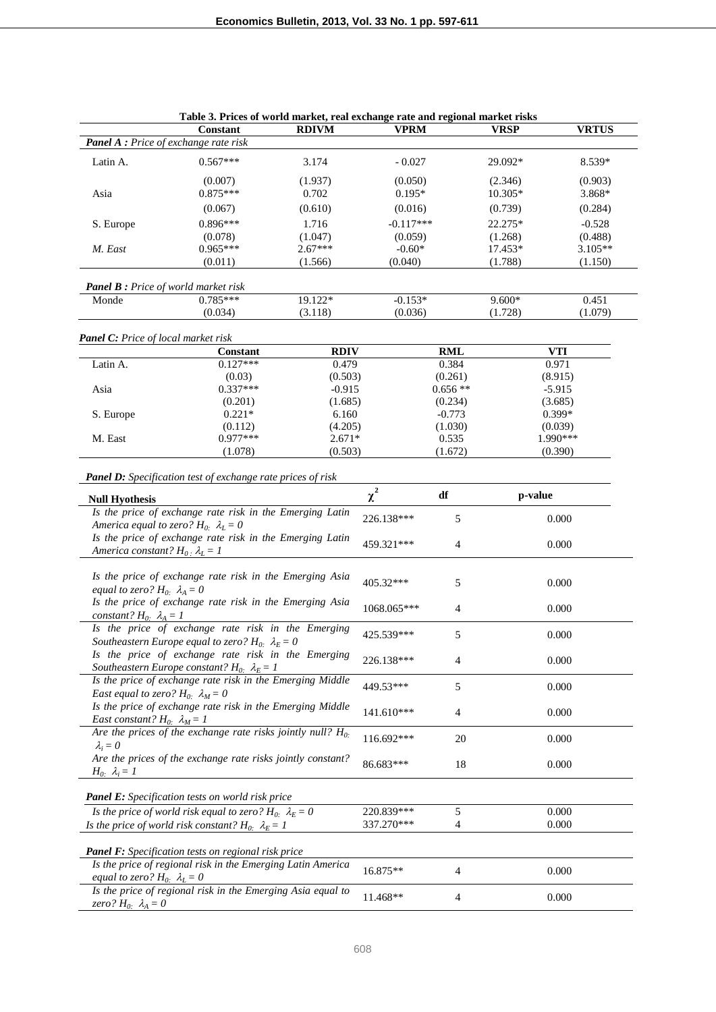|                                                           | Constant                                                           | <b>RDIVM</b> | <b>VPRM</b> |                | <b>VRSP</b> | <b>VRTUS</b> |
|-----------------------------------------------------------|--------------------------------------------------------------------|--------------|-------------|----------------|-------------|--------------|
| Panel A : Price of exchange rate risk                     |                                                                    |              |             |                |             |              |
|                                                           |                                                                    |              |             |                |             |              |
| Latin A.                                                  | $0.567***$                                                         | 3.174        | $-0.027$    |                | 29.092*     | 8.539*       |
|                                                           | (0.007)                                                            | (1.937)      | (0.050)     |                | (2.346)     | (0.903)      |
| Asia                                                      | $0.875***$                                                         | 0.702        | $0.195*$    |                | $10.305*$   | 3.868*       |
|                                                           |                                                                    |              |             |                |             |              |
|                                                           | (0.067)                                                            | (0.610)      | (0.016)     |                | (0.739)     | (0.284)      |
| S. Europe                                                 | $0.896***$                                                         | 1.716        | $-0.117***$ |                | 22.275*     | $-0.528$     |
|                                                           | (0.078)                                                            | (1.047)      | (0.059)     |                | (1.268)     | (0.488)      |
| M. East                                                   | $0.965***$                                                         | $2.67***$    | $-0.60*$    |                | 17.453*     | 3.105**      |
|                                                           | (0.011)                                                            | (1.566)      | (0.040)     |                | (1.788)     | (1.150)      |
|                                                           |                                                                    |              |             |                |             |              |
| <b>Panel B</b> : Price of world market risk               |                                                                    |              |             |                |             |              |
| Monde                                                     | $0.785***$                                                         | 19.122*      | $-0.153*$   |                | $9.600*$    | 0.451        |
|                                                           |                                                                    |              |             |                |             |              |
|                                                           | (0.034)                                                            | (3.118)      | (0.036)     |                | (1.728)     | (1.079)      |
|                                                           |                                                                    |              |             |                |             |              |
| <b>Panel C:</b> Price of local market risk                |                                                                    |              |             |                |             |              |
|                                                           | <b>Constant</b>                                                    | <b>RDIV</b>  |             | <b>RML</b>     |             | VTI          |
| Latin A.                                                  | $0.127***$                                                         | 0.479        |             | 0.384          |             | 0.971        |
|                                                           | (0.03)                                                             | (0.503)      |             | (0.261)        |             | (8.915)      |
| Asia                                                      | $0.337***$                                                         | $-0.915$     |             | $0.656**$      |             | $-5.915$     |
|                                                           | (0.201)                                                            | (1.685)      |             | (0.234)        |             | (3.685)      |
| S. Europe                                                 | $0.221*$                                                           | 6.160        |             | $-0.773$       |             | 0.399*       |
|                                                           | (0.112)                                                            | (4.205)      |             | (1.030)        |             | (0.039)      |
| M. East                                                   | $0.977***$                                                         | $2.671*$     |             | 0.535          |             | 1.990***     |
|                                                           | (1.078)                                                            | (0.503)      |             | (1.672)        |             | (0.390)      |
|                                                           |                                                                    |              |             |                |             |              |
|                                                           | <b>Panel D:</b> Specification test of exchange rate prices of risk |              |             |                |             |              |
|                                                           |                                                                    |              |             |                |             |              |
| <b>Null Hyothesis</b>                                     |                                                                    |              | $\chi^2$    | df             | p-value     |              |
|                                                           | Is the price of exchange rate risk in the Emerging Latin           |              |             |                |             |              |
|                                                           |                                                                    |              | 226.138***  | 5              |             | 0.000        |
|                                                           | America equal to zero? $H_0$ : $\lambda_L = 0$                     |              |             |                |             |              |
|                                                           | Is the price of exchange rate risk in the Emerging Latin           |              | 459.321***  | $\overline{4}$ |             | 0.000        |
| America constant? $H_0$ . $\lambda_L = 1$                 |                                                                    |              |             |                |             |              |
|                                                           |                                                                    |              |             |                |             |              |
|                                                           | Is the price of exchange rate risk in the Emerging Asia            |              | 405.32***   | 5              |             | 0.000        |
| equal to zero? $H_0$ : $\lambda_A = 0$                    |                                                                    |              |             |                |             |              |
|                                                           | Is the price of exchange rate risk in the Emerging Asia            |              |             |                |             |              |
| constant? $H_0$ : $\lambda_A = 1$                         |                                                                    |              | 1068.065*** | $\overline{4}$ |             | 0.000        |
|                                                           |                                                                    |              |             |                |             |              |
|                                                           | Is the price of exchange rate risk in the Emerging                 |              | 425.539***  | 5              |             | 0.000        |
|                                                           | Southeastern Europe equal to zero? $H_0$ : $\lambda_E = 0$         |              |             |                |             |              |
|                                                           | Is the price of exchange rate risk in the Emerging                 |              | 226.138***  | 4              |             | 0.000        |
|                                                           | Southeastern Europe constant? $H_0$ : $\lambda_E = I$              |              |             |                |             |              |
|                                                           | Is the price of exchange rate risk in the Emerging Middle          |              |             |                |             |              |
| <i>East equal to zero?</i> $H_0$ <i>:</i> $\lambda_M = 0$ |                                                                    |              | 449.53***   | 5              |             | 0.000        |
|                                                           | Is the price of exchange rate risk in the Emerging Middle          |              |             |                |             |              |
|                                                           |                                                                    |              | 141.610***  | 4              |             | 0.000        |
| <i>East constant?</i> $H_0$ <i>:</i> $\lambda_M = 1$      |                                                                    |              |             |                |             |              |
|                                                           | Are the prices of the exchange rate risks jointly null? $H_0$ .    |              | 116.692***  | 20             |             | 0.000        |
| $\lambda_i = 0$                                           |                                                                    |              |             |                |             |              |
|                                                           | Are the prices of the exchange rate risks jointly constant?        |              | 86.683***   | 18             |             | 0.000        |
| $H_0$ : $\lambda_i = I$                                   |                                                                    |              |             |                |             |              |
|                                                           |                                                                    |              |             |                |             |              |
|                                                           | <b>Panel E:</b> Specification tests on world risk price            |              |             |                |             |              |
|                                                           | Is the price of world risk equal to zero? $H_0$ : $\lambda_E = 0$  |              | 220.839***  | 5              |             | 0.000        |
|                                                           |                                                                    |              | 337.270***  | 4              |             | 0.000        |
|                                                           | Is the price of world risk constant? $H_0$ : $\lambda_E = 1$       |              |             |                |             |              |
|                                                           |                                                                    |              |             |                |             |              |
|                                                           | <b>Panel F:</b> Specification tests on regional risk price         |              |             |                |             |              |
|                                                           | Is the price of regional risk in the Emerging Latin America        |              | 16.875**    | 4              |             | 0.000        |
| equal to zero? $H_0$ : $\lambda_L = 0$                    |                                                                    |              |             |                |             |              |
|                                                           | Is the price of regional risk in the Emerging Asia equal to        |              |             |                |             |              |
| zero? $H_0$ : $\lambda_A = 0$                             |                                                                    |              | 11.468**    | 4              |             | 0.000        |
|                                                           |                                                                    |              |             |                |             |              |

|  | Table 3. Prices of world market, real exchange rate and regional market risks |  |  |
|--|-------------------------------------------------------------------------------|--|--|
|--|-------------------------------------------------------------------------------|--|--|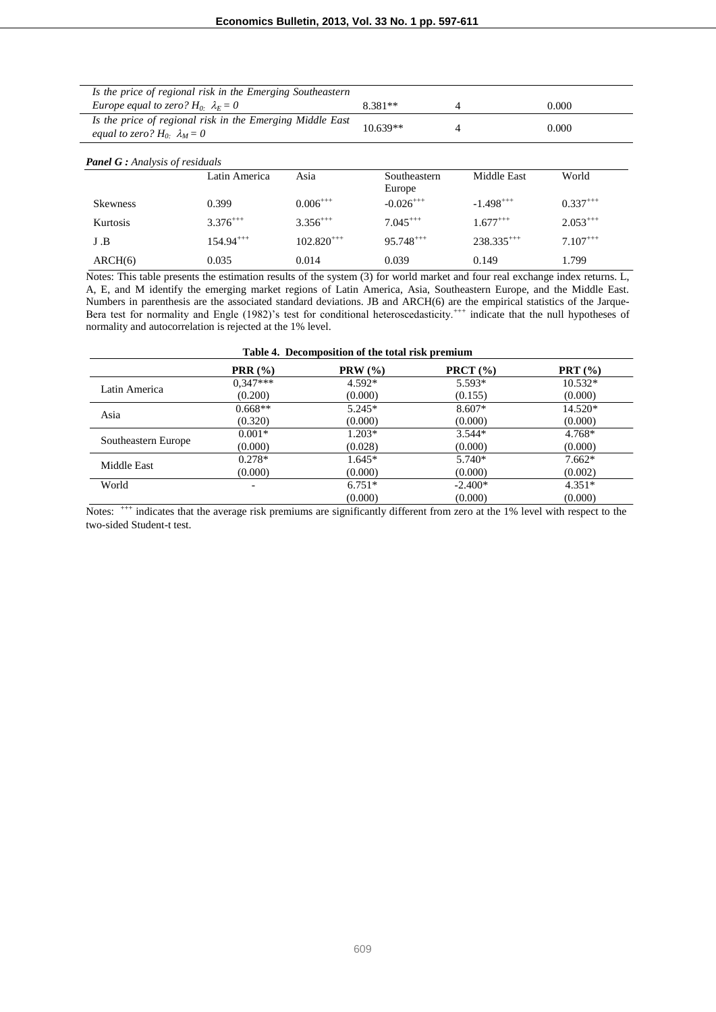| Is the price of regional risk in the Emerging Southeastern                                          |               |                |                        |                 |               |  |
|-----------------------------------------------------------------------------------------------------|---------------|----------------|------------------------|-----------------|---------------|--|
| Europe equal to zero? $H_0$ . $\lambda_F = 0$                                                       |               |                | 8.381**                | $\overline{4}$  | 0.000         |  |
| Is the price of regional risk in the Emerging Middle East<br>equal to zero? $H_0$ . $\lambda_M = 0$ |               |                | $10.639**$             | 4               | 0.000         |  |
| <b>Panel G</b> : Analysis of residuals                                                              |               |                |                        |                 |               |  |
|                                                                                                     | Latin America | Asia           | Southeastern<br>Europe | Middle East     | World         |  |
| <b>Skewness</b>                                                                                     | 0.399         | $0.006^{+++}$  | $-0.026^{++}$          | $-1.498^{+++}$  | $0.337^{+++}$ |  |
| Kurtosis                                                                                            | $3.376^{++}$  | $3.356^{++}$   | $7.045***$             | $1.677***$      | $2.053^{+++}$ |  |
| J.B                                                                                                 | $154.94***$   | $102.820^{++}$ | $95.748^{+++}$         | $238.335^{+++}$ | $7.107^{+++}$ |  |
| ARCH(6)                                                                                             | 0.035         | 0.014          | 0.039                  | 0.149           | 1.799         |  |

Notes: This table presents the estimation results of the system (3) for world market and four real exchange index returns. L, A, E, and M identify the emerging market regions of Latin America, Asia, Southeastern Europe, and the Middle East. Numbers in parenthesis are the associated standard deviations. JB and ARCH(6) are the empirical statistics of the Jarque-Bera test for normality and Engle (1982)'s test for conditional heteroscedasticity.<sup>+++</sup> indicate that the null hypotheses of normality and autocorrelation is rejected at the 1% level.

| Table 4. Decomposition of the total risk premium |                              |          |                    |           |  |  |
|--------------------------------------------------|------------------------------|----------|--------------------|-----------|--|--|
|                                                  | <b>PRR</b> $(\%)$            | PRW (%)  | <b>PRCT</b> $(\%)$ | PRT(%)    |  |  |
|                                                  | $0,347***$                   | $4.592*$ | $5.593*$           | $10.532*$ |  |  |
| Latin America                                    | (0.200)                      | (0.000)  | (0.155)            | (0.000)   |  |  |
| Asia                                             | $0.668**$                    | $5.245*$ | $8.607*$           | 14.520*   |  |  |
|                                                  | (0.320)                      | (0.000)  | (0.000)            | (0.000)   |  |  |
|                                                  | $0.001*$                     | $1.203*$ | $3.544*$           | $4.768*$  |  |  |
| Southeastern Europe                              | (0.000)                      | (0.028)  | (0.000)            | (0.000)   |  |  |
| Middle East                                      | $0.278*$                     | $1.645*$ | $5.740*$           | $7.662*$  |  |  |
|                                                  | (0.000)                      | (0.000)  | (0.000)            | (0.002)   |  |  |
| World                                            | $\qquad \qquad \blacksquare$ | $6.751*$ | $-2.400*$          | $4.351*$  |  |  |
|                                                  |                              | (0.000)  | (0.000)            | (0.000)   |  |  |

Notes: <sup>+++</sup> indicates that the average risk premiums are significantly different from zero at the 1% level with respect to the two-sided Student-t test.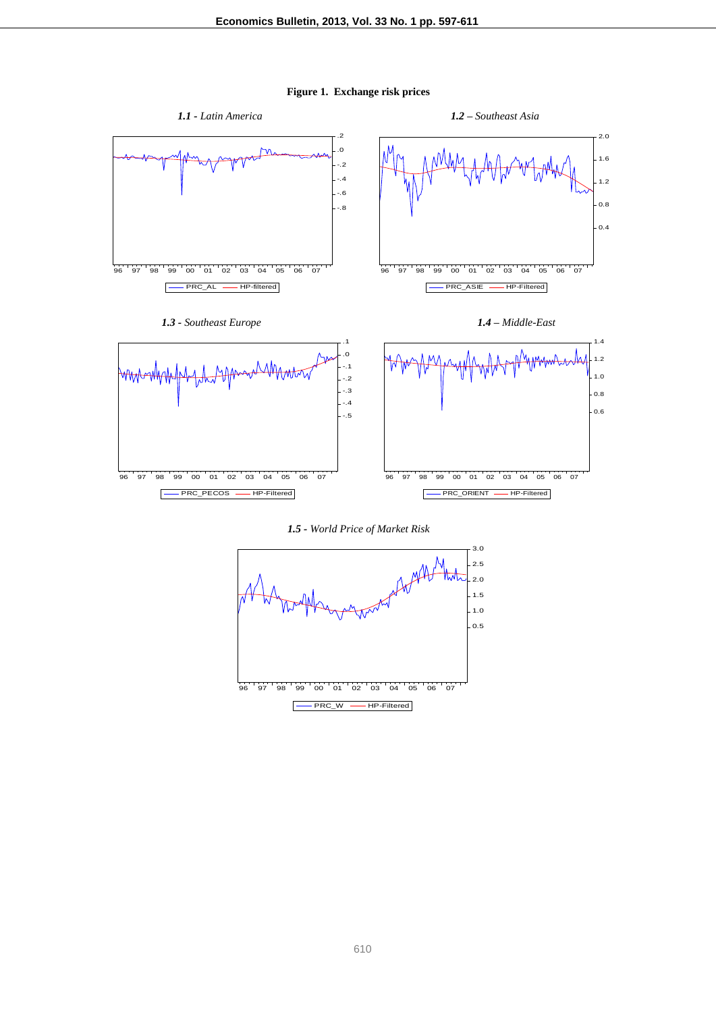**Figure 1. Exchange risk prices**



610

96 97 98 99 00 01 02 03 04 05 06 07 PRC\_W — HP-Filtered